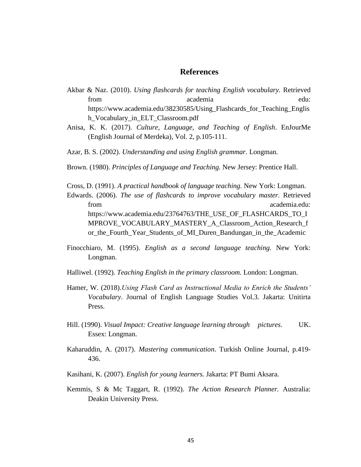## **References**

- Akbar & Naz. (2010). *Using flashcards for teaching English vocabulary.* Retrieved from academia edu: https://www.academia.edu/38230585/Using\_Flashcards\_for\_Teaching\_Englis h\_Vocabulary\_in\_ELT\_Classroom.pdf
- Anisa, K. K. (2017). *Culture, Language, and Teaching of English*. EnJourMe (English Journal of Merdeka), Vol. 2, p.105-111.
- Azar, B. S. (2002). *Understanding and using English grammar.* Longman.
- Brown. (1980). *Principles of Language and Teaching.* New Jersey: Prentice Hall.
- Cross, D. (1991). *A practical handbook of language teaching.* New York: Longman.
- Edwards. (2006). *The use of flashcards to improve vocabulary master.* Retrieved from academia.edu: https://www.academia.edu/23764763/THE\_USE\_OF\_FLASHCARDS\_TO\_I MPROVE\_VOCABULARY\_MASTERY\_A\_Classroom\_Action\_Research\_f or\_the\_Fourth\_Year\_Students\_of\_MI\_Duren\_Bandungan\_in\_the\_Academic
- Finocchiaro, M. (1995). *English as a second language teaching.* New York: Longman.
- Halliwel. (1992). *Teaching English in the primary classroom.* London: Longman.
- Hamer, W. (2018).*Using Flash Card as Instructional Media to Enrich the Students' Vocabulary*. Journal of English Language Studies Vol.3. Jakarta: Unitirta Press.
- Hill. (1990). *Visual Impact: Creative language learning through pictures*. UK. Essex: Longman.
- Kaharuddin, A. (2017). *Mastering communication*. Turkish Online Journal, p.419- 436.
- Kasihani, K. (2007). *English for young learners.* Jakarta: PT Bumi Aksara.
- Kemmis, S & Mc Taggart, R. (1992). *The Action Research Planner.* Australia: Deakin University Press.